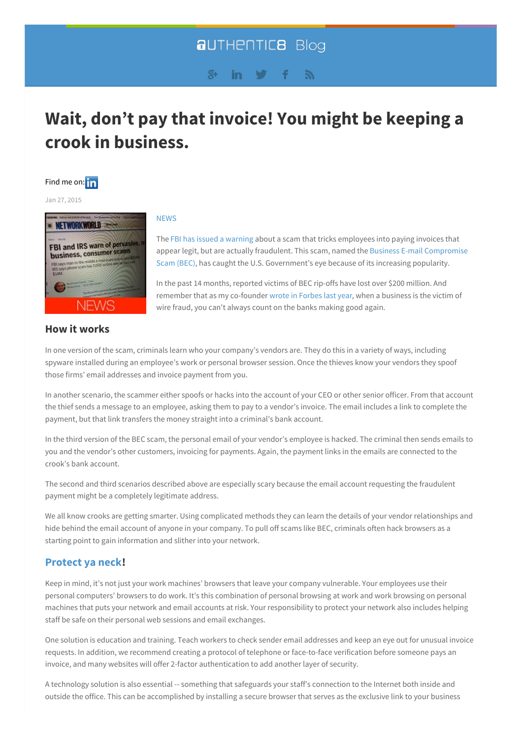# **aUTHENTICB Blog**

#### $g_{+}$ in. Ñ.

# <span id="page-0-0"></span>**Wait, don't pay that invoice! You might be keeping a crook in [business.](#page-0-0)**

# Find me on: **in**

Jan 27, 2015



# **How it works**

## **[NEWS](blog/topic/news)**

The FBI has issued a [warning](http://www.networkworld.com/article/2874159/security0/fbi-and-irs-warn-of-pervasive-maddening-business-consumer-scams.html) about a scam that tricks employees into paying invoices that appear legit, but are actually fraudulent. This scam, named the Business E-mail Compromise Scam (BEC), has caught the U.S. [Government's](http://www.ic3.gov/media/2015/150122.aspx) eye because of its increasing popularity.

In the past 14 months, reported victims of BEC rip-offs have lost over \$200 million. And remember that as my co-founder wrote in [Forbes](http://www.forbes.com/sites/groupthink/2014/07/15/dont-let-your-business-pay-the-price-for-bank-fraud/) last year, when a business is the victim of wire fraud, you can't always count on the banks making good again.

In one version of the scam, criminals learn who your company's vendors are. They do this in a variety of ways, including spyware installed during an employee's work or personal browser session. Once the thieves know your vendors they spoof those firms' email addresses and invoice payment from you.

In another scenario, the scammer either spoofs or hacks into the account of your CEO or other senior officer. From that account the thief sends a message to an employee, asking them to pay to a vendor's invoice. The email includes a link to complete the payment, but that link transfers the money straight into a criminal's bank account.

In the third version of the BEC scam, the personal email of your vendor's employee is hacked. The criminal then sends emails to you and the vendor's other customers, invoicing for payments. Again, the payment links in the emails are connected to the crook's bank account.

The second and third scenarios described above are especially scary because the email account requesting the fraudulent payment might be a completely legitimate address.

We all know crooks are getting smarter. Using complicated methods they can learn the details of your vendor relationships and hide behind the email account of anyone in your company. To pull off scams like BEC, criminals often hack browsers as a starting point to gain information and slither into your network.

# **[Protect](http://genius.com/Wu-tang-clan-protect-ya-neck-lyrics) ya neck!**

Keep in mind, it's not just your work machines' browsers that leave your company vulnerable. Your employees use their personal computers' browsers to do work. It's this combination of personal browsing at work and work browsing on personal machines that puts your network and email accounts at risk. Your responsibility to protect your network also includes helping staff be safe on their personal web sessions and email exchanges.

One solution is education and training. Teach workers to check sender email addresses and keep an eye out for unusual invoice requests. In addition, we recommend creating a protocol of telephone or face-to-face verification before someone pays an invoice, and many websites will offer 2-factor authentication to add another layer of security.

A technology solution is also essential -- something that safeguards your staff's connection to the Internet both inside and outside the office. This can be accomplished by installing a secure browser that serves as the exclusive link to your business